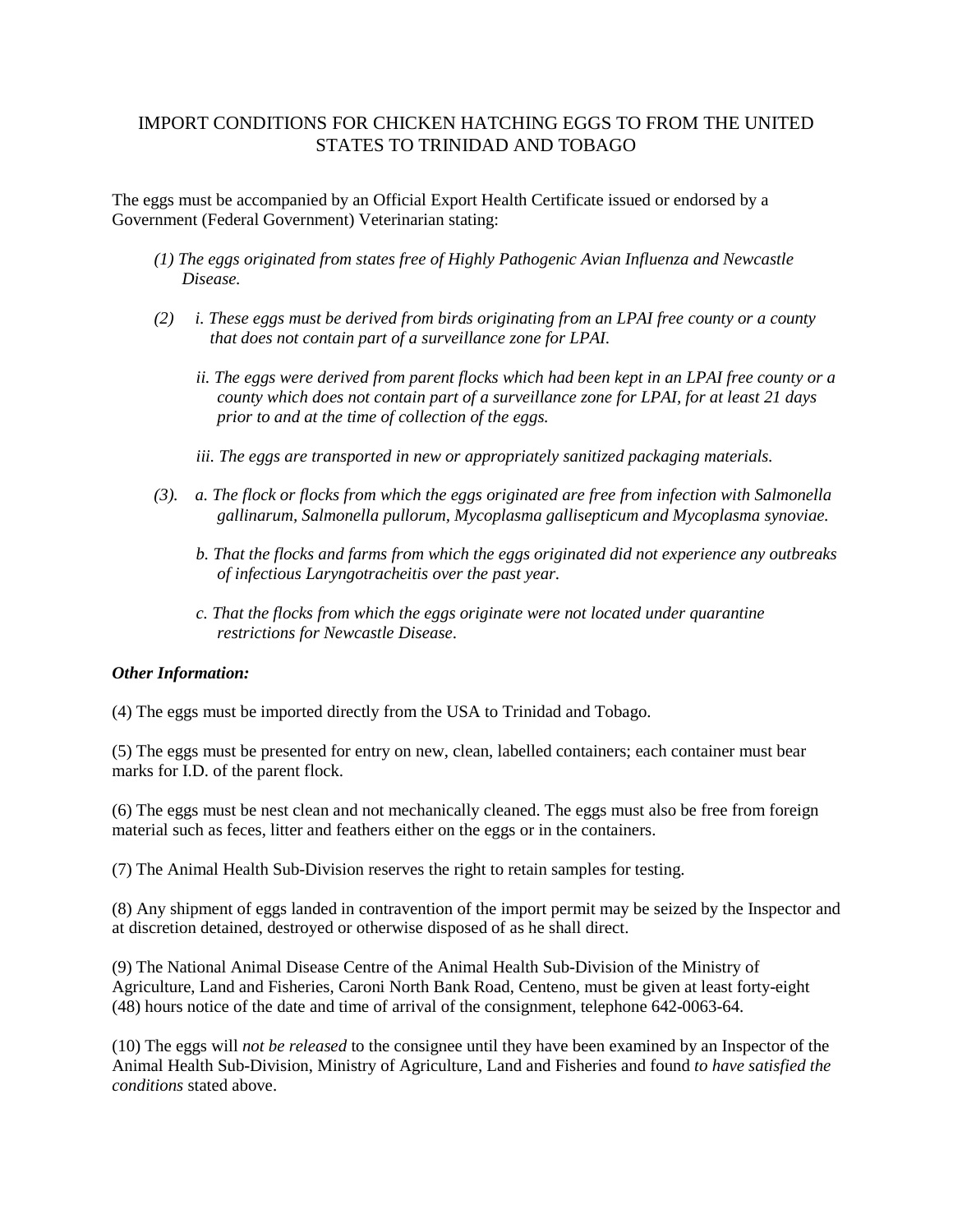## IMPORT CONDITIONS FOR CHICKEN HATCHING EGGS TO FROM THE UNITED STATES TO TRINIDAD AND TOBAGO

The eggs must be accompanied by an Official Export Health Certificate issued or endorsed by a Government (Federal Government) Veterinarian stating:

- *(1) The eggs originated from states free of Highly Pathogenic Avian Influenza and Newcastle Disease.*
- *(2) i. These eggs must be derived from birds originating from an LPAI free county or a county that does not contain part of a surveillance zone for LPAI.* 
	- *ii. The eggs were derived from parent flocks which had been kept in an LPAI free county or a county which does not contain part of a surveillance zone for LPAI, for at least 21 days prior to and at the time of collection of the eggs.*
	- *iii. The eggs are transported in new or appropriately sanitized packaging materials.*
- *(3). a. The flock or flocks from which the eggs originated are free from infection with Salmonella gallinarum, Salmonella pullorum, Mycoplasma gallisepticum and Mycoplasma synoviae.* 
	- *b. That the flocks and farms from which the eggs originated did not experience any outbreaks of infectious Laryngotracheitis over the past year.*
	- *c. That the flocks from which the eggs originate were not located under quarantine restrictions for Newcastle Disease*.

## *Other Information:*

(4) The eggs must be imported directly from the USA to Trinidad and Tobago.

(5) The eggs must be presented for entry on new, clean, labelled containers; each container must bear marks for I.D. of the parent flock.

(6) The eggs must be nest clean and not mechanically cleaned. The eggs must also be free from foreign material such as feces, litter and feathers either on the eggs or in the containers.

(7) The Animal Health Sub-Division reserves the right to retain samples for testing.

(8) Any shipment of eggs landed in contravention of the import permit may be seized by the Inspector and at discretion detained, destroyed or otherwise disposed of as he shall direct.

(9) The National Animal Disease Centre of the Animal Health Sub-Division of the Ministry of Agriculture, Land and Fisheries, Caroni North Bank Road, Centeno, must be given at least forty-eight (48) hours notice of the date and time of arrival of the consignment, telephone 642-0063-64.

(10) The eggs will *not be released* to the consignee until they have been examined by an Inspector of the Animal Health Sub-Division, Ministry of Agriculture, Land and Fisheries and found *to have satisfied the conditions* stated above.